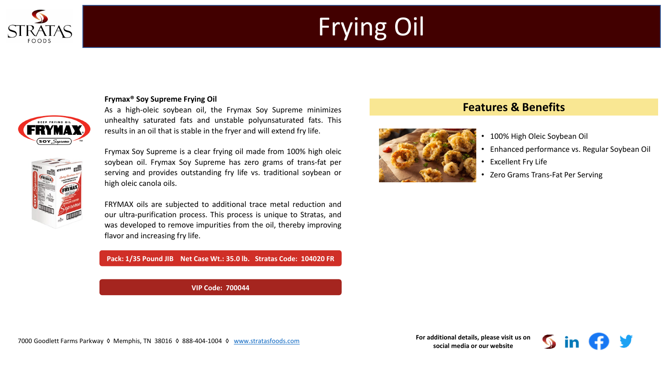

# Frying Oil

### **Frymax® Soy Supreme Frying Oil**



As a high-oleic soybean oil, the Frymax Soy Supreme minimizes unhealthy saturated fats and unstable polyunsaturated fats. This results in an oil that is stable in the fryer and will extend fry life.



Frymax Soy Supreme is a clear frying oil made from 100% high oleic soybean oil. Frymax Soy Supreme has zero grams of trans-fat per serving and provides outstanding fry life vs. traditional soybean or high oleic canola oils.

FRYMAX oils are subjected to additional trace metal reduction and our ultra-purification process. This process is unique to Stratas, and was developed to remove impurities from the oil, thereby improving flavor and increasing fry life.

#### **Pack: 1/35 Pound JIB Net Case Wt.: 35.0 lb. Stratas Code: 104020 FR**

**VIP Code: 700044**

## **Features & Benefits**



- 100% High Oleic Soybean Oil
- Enhanced performance vs. Regular Soybean Oil
- **Excellent Fry Life**
- Zero Grams Trans-Fat Per Serving

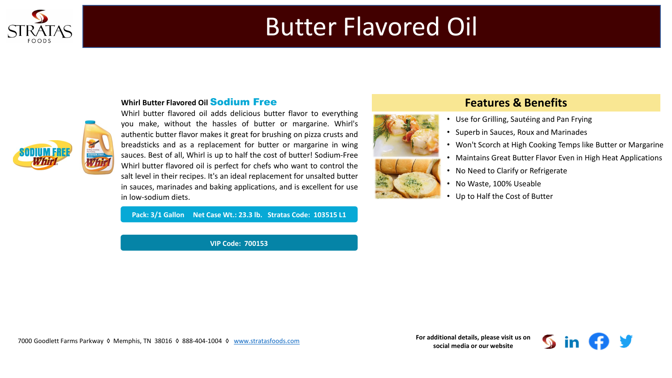

## Butter Flavored Oil



### **Whirl Butter Flavored Oil Sodium Free**

Whirl butter flavored oil adds delicious butter flavor to everything you make, without the hassles of butter or margarine. Whirl's authentic butter flavor makes it great for brushing on pizza crusts and breadsticks and as a replacement for butter or margarine in wing sauces. Best of all, Whirl is up to half the cost of butter! Sodium-Free Whirl butter flavored oil is perfect for chefs who want to control the salt level in their recipes. It's an ideal replacement for unsalted butter in sauces, marinades and baking applications, and is excellent for use in low-sodium diets.

**Pack: 3/1 Gallon Net Case Wt.: 23.3 lb. Stratas Code: 103515 L1**

**VIP Code: 700153**



## **Features & Benefits**

- Use for Grilling, Sautéing and Pan Frying
- Superb in Sauces, Roux and Marinades
- Won't Scorch at High Cooking Temps like Butter or Margarine
- Maintains Great Butter Flavor Even in High Heat Applications
- No Need to Clarify or Refrigerate
- No Waste, 100% Useable
- Up to Half the Cost of Butter

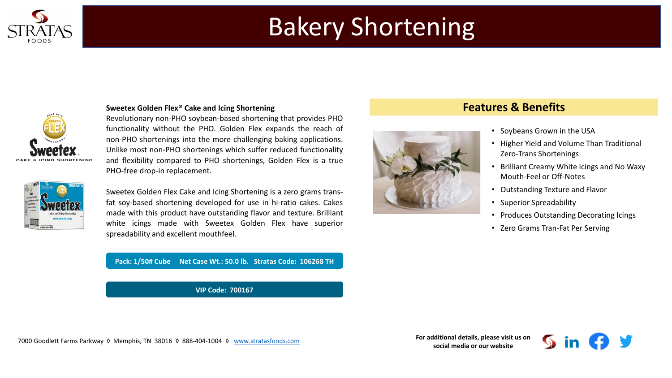

# Bakery Shortening



#### **Sweetex Golden Flex® Cake and Icing Shortening**

Revolutionary non-PHO soybean-based shortening that provides PHO functionality without the PHO. Golden Flex expands the reach of non-PHO shortenings into the more challenging baking applications. Unlike most non-PHO shortenings which suffer reduced functionality and flexibility compared to PHO shortenings, Golden Flex is a true PHO-free drop-in replacement.



Sweetex Golden Flex Cake and Icing Shortening is a zero grams transfat soy-based shortening developed for use in hi-ratio cakes. Cakes made with this product have outstanding flavor and texture. Brilliant white icings made with Sweetex Golden Flex have superior spreadability and excellent mouthfeel.

#### **Pack: 1/50# Cube Net Case Wt.: 50.0 lb. Stratas Code: 106268 TH**

**VIP Code: 700167**

## **Features & Benefits**



#### • Soybeans Grown in the USA

- Higher Yield and Volume Than Traditional Zero-Trans Shortenings
- Brilliant Creamy White Icings and No Waxy Mouth-Feel or Off-Notes
- Outstanding Texture and Flavor
- Superior Spreadability
- Produces Outstanding Decorating Icings
- Zero Grams Tran-Fat Per Serving